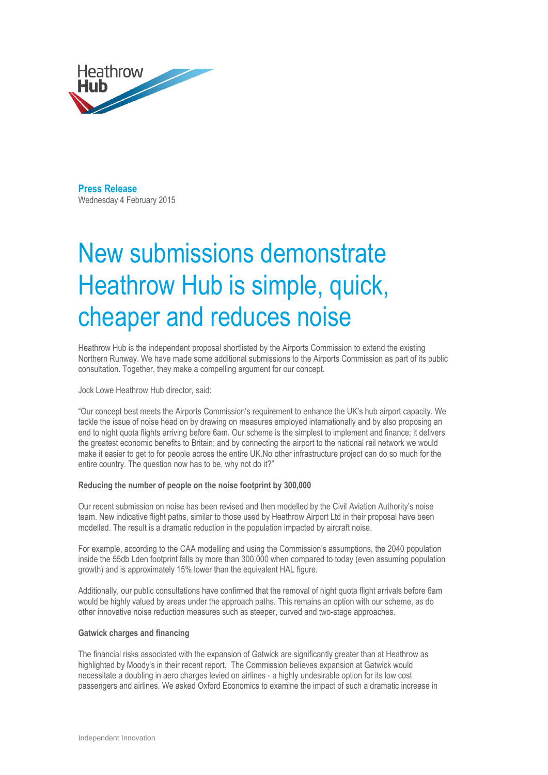

**Press Release**  Wednesday 4 February 2015

# New submissions demonstrate Heathrow Hub is simple, quick, cheaper and reduces noise

Heathrow Hub is the independent proposal shortlisted by the Airports Commission to extend the existing Northern Runway. We have made some additional submissions to the Airports Commission as part of its public consultation. Together, they make a compelling argument for our concept.

Jock Lowe Heathrow Hub director, said:

"Our concept best meets the Airports Commission's requirement to enhance the UK's hub airport capacity. We tackle the issue of noise head on by drawing on measures employed internationally and by also proposing an end to night quota flights arriving before 6am. Our scheme is the simplest to implement and finance; it delivers the greatest economic benefits to Britain; and by connecting the airport to the national rail network we would make it easier to get to for people across the entire UK.No other infrastructure project can do so much for the entire country. The question now has to be, why not do it?"

## **Reducing the number of people on the noise footprint by 300,000**

Our recent submission on noise has been revised and then modelled by the Civil Aviation Authority's noise team. New indicative flight paths, similar to those used by Heathrow Airport Ltd in their proposal have been modelled. The result is a dramatic reduction in the population impacted by aircraft noise.

For example, according to the CAA modelling and using the Commission's assumptions, the 2040 population inside the 55db Lden footprint falls by more than 300,000 when compared to today (even assuming population growth) and is approximately 15% lower than the equivalent HAL figure.

Additionally, our public consultations have confirmed that the removal of night quota flight arrivals before 6am would be highly valued by areas under the approach paths. This remains an option with our scheme, as do other innovative noise reduction measures such as steeper, curved and two-stage approaches.

## **Gatwick charges and financing**

The financial risks associated with the expansion of Gatwick are significantly greater than at Heathrow as highlighted by Moody's in their recent report. The Commission believes expansion at Gatwick would necessitate a doubling in aero charges levied on airlines - a highly undesirable option for its low cost passengers and airlines. We asked Oxford Economics to examine the impact of such a dramatic increase in